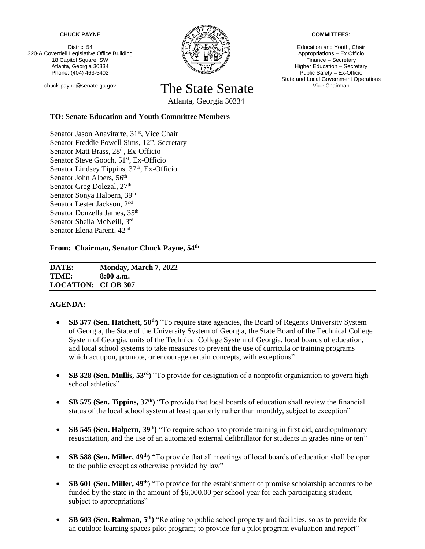#### **CHUCK PAYNE**

District 54 320-A Coverdell Legislative Office Building 18 Capitol Square, SW Atlanta, Georgia 30334 Phone: (404) 463-5402



# chuck.payne@senate.ga.gov The State Senate

Atlanta, Georgia 30334

## **TO: Senate Education and Youth Committee Members**

Senator Jason Anavitarte, 31<sup>st</sup>, Vice Chair [Senator](http://www.senate.ga.gov/senators/en-US/Member.aspx?Member=21&Session=23) Freddie Powell Sims, 12<sup>th</sup>, Secretary Senator Matt Brass, 28<sup>th</sup>, Ex-Officio Senator Steve Gooch, 51<sup>st</sup>, Ex-Officio Senator Lindsey Tippins,  $37<sup>th</sup>$ , Ex-Officio [Senator](http://www.senate.ga.gov/senators/en-US/Member.aspx?Member=77&Session=23) John Albers, 56<sup>th</sup> Senator Greg Dolezal, 27<sup>th</sup> Senator Sonya Halpern, 39<sup>th</sup> Senator Lester Jackson, 2nd Senator Donzella James, 35<sup>th</sup> Senator Sheila McNeill, 3rd Senator Elena Parent, 42<sup>nd</sup>

**From: Chairman, Senator Chuck Payne, 54th**

**DATE: Monday, March 7, 2022 TIME: 8:00 a.m. LOCATION: CLOB 307**

### **AGENDA:**

- **SB 377 (Sen. Hatchett, 50<sup>th</sup>)** "To require state agencies, the Board of Regents University System of Georgia, the State of the University System of Georgia, the State Board of the Technical College System of Georgia, units of the Technical College System of Georgia, local boards of education, and local school systems to take measures to prevent the use of curricula or training programs which act upon, promote, or encourage certain concepts, with exceptions"
- **SB 328 (Sen. Mullis, 53rd)** "To provide for designation of a nonprofit organization to govern high school athletics"
- **SB 575 (Sen. Tippins, 37th)** "To provide that local boards of education shall review the financial status of the local school system at least quarterly rather than monthly, subject to exception"
- **SB 545 (Sen. Halpern, 39th)** "To require schools to provide training in first aid, cardiopulmonary resuscitation, and the use of an automated external defibrillator for students in grades nine or ten"
- **SB 588 (Sen. Miller, 49<sup>th</sup>)** "To provide that all meetings of local boards of education shall be open to the public except as otherwise provided by law"
- **SB 601 (Sen. Miller, 49<sup>th</sup>)** "To provide for the establishment of promise scholarship accounts to be funded by the state in the amount of \$6,000.00 per school year for each participating student, subject to appropriations"
- **SB 603 (Sen. Rahman, 5th)** "Relating to public school property and facilities, so as to provide for an outdoor learning spaces pilot program; to provide for a pilot program evaluation and report"

#### **COMMITTEES:**

Education and Youth, Chair Appropriations – Ex Officio Finance – Secretary Higher Education – Secretary Public Safety – Ex-Officio State and Local Government Operations Vice-Chairman